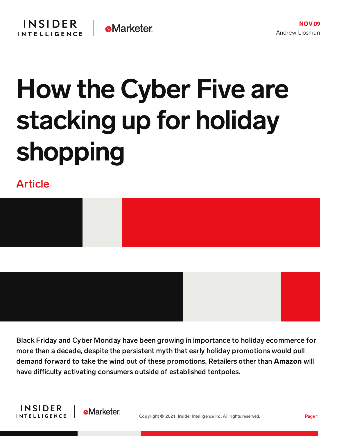## How the Cyber Five are stacking up for holiday shopping

Article



Black Friday and Cyber Monday have been growing in importance to holiday ecommerce for more than a decade, despite the persistent myth that early holiday promotions would pull demand forward to take the wind out of these promotions. Retailers other than Amazon will have difficulty activating consumers outside of established tentpoles.



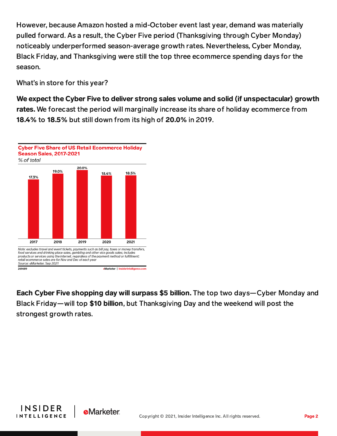However, because Amazon hosted a mid-October event last year, demand was materially pulled forward. As a result, the Cyber Five period (Thanksgiving through Cyber Monday) noticeably underperformed season-average growth rates. Nevertheless, Cyber Monday, Black Friday, and Thanksgiving were still the top three ecommerce spending days for the season.

What's in store for this year?

We expect the Cyber Five to deliver strong sales volume and solid (if unspectacular) growth rates. We forecast the period will marginally increase its share of holiday ecommerce from 18.4% to 18.5% but still down from its high of 20.0% in 2019.



Each Cyber Five shopping day will surpass \$5 billion. The top two days—Cyber Monday and Black Friday—will top \$10 billion, but Thanksgiving Day and the weekend will post the strongest growth rates.



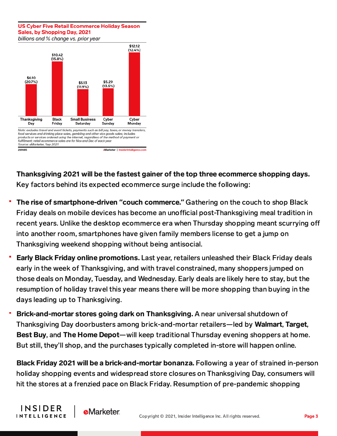## **US Cyber Five Retail Ecommerce Holiday Season** Sales, by Shopping Day, 2021

billions and % change vs. prior year



Thanksgiving 2021 will be the fastest gainer of the top three ecommerce shopping days. Key factors behind its expected ecommerce surge include the following:

- The rise of smartphone-driven **"**couch commerce.**"** Gathering on the couch to shop Black Friday deals on mobile devices has become an unofficial post-Thanksgiving meal tradition in recent years. Unlike the desktop ecommerce era when Thursday shopping meant scurrying o into another room, smartphones have given family members license to get a jump on Thanksgiving weekend shopping without being antisocial.
- Early Black Friday online promotions. Last year, retailers unleashed their Black Friday deals early in the week of Thanksgiving, and with travel constrained, many shoppers jumped on those deals on Monday, Tuesday, and Wednesday. Early deals are likely here to stay, but the resumption of holiday travel this year means there will be more shopping than buying in the days leading up to Thanksgiving.
- Brick-and-mortar stores going dark on Thanksgiving. A near universal shutdown of Thanksgiving Day doorbusters among brick-and-mortar retailers—led by Walmart, Target, Best Buy, and The Home Depot—will keep traditional Thursday evening shoppers at home. But still, they'll shop, and the purchases typically completed in-store will happen online.

Black Friday 2021 will be a brick-and-mortar bonanza. Following a year of strained in-person holiday shopping events and widespread store closures on Thanksgiving Day, consumers will hit the stores at a frenzied pace on Black Friday. Resumption of pre-pandemic shopping